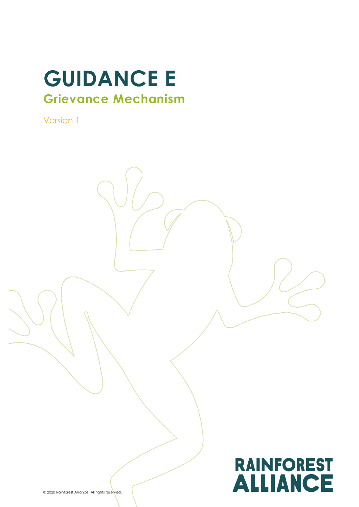# **GUIDANCE E Grievance Mechanism**

Version 1

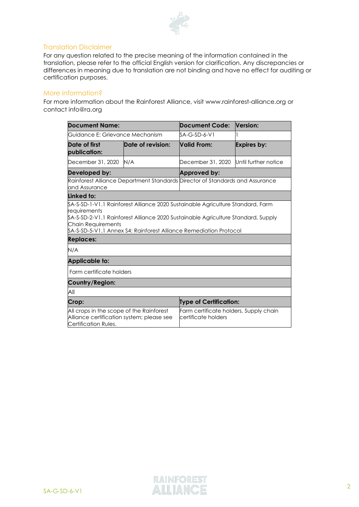

#### Translation Disclaimer

For any question related to the precise meaning of the information contained in the translation, please refer to the official English version for clarification. Any discrepancies or differences in meaning due to translation are not binding and have no effect for auditing or certification purposes.

#### More information?

For more information about the Rainforest Alliance, visit www.rainforest-alliance.org or contact info@ra.org

| <b>Document Name:</b>                                                                                                                                                                                              |                   | Document Code:                                                | <b>Version:</b>      |  |
|--------------------------------------------------------------------------------------------------------------------------------------------------------------------------------------------------------------------|-------------------|---------------------------------------------------------------|----------------------|--|
| Guidance E: Grievance Mechanism                                                                                                                                                                                    |                   | $SA-G-SD-6-V1$                                                |                      |  |
| Date of first<br>publication:                                                                                                                                                                                      | Date of revision: | Valid From:                                                   | <b>Expires by:</b>   |  |
| December 31, 2020                                                                                                                                                                                                  | N/A               | December 31, 2020                                             | Until further notice |  |
| Developed by:                                                                                                                                                                                                      |                   | Approved by:                                                  |                      |  |
| Rainforest Alliance Department Standards Director of Standards and Assurance<br>and Assurance                                                                                                                      |                   |                                                               |                      |  |
| Linked to:                                                                                                                                                                                                         |                   |                                                               |                      |  |
| requirements<br>\$A-S-SD-2-V1.1 Rainforest Alliance 2020 Sustainable Agriculture Standard, Supply<br>Chain Requirements<br>\$A-S-SD-5-V1.1 Annex \$4: Rainforest Alliance Remediation Protocol<br><b>Replaces:</b> |                   |                                                               |                      |  |
| N/A                                                                                                                                                                                                                |                   |                                                               |                      |  |
| <b>Applicable to:</b>                                                                                                                                                                                              |                   |                                                               |                      |  |
| Farm certificate holders                                                                                                                                                                                           |                   |                                                               |                      |  |
| Country/Region:                                                                                                                                                                                                    |                   |                                                               |                      |  |
| All                                                                                                                                                                                                                |                   |                                                               |                      |  |
| Crop:                                                                                                                                                                                                              |                   | <b>Type of Certification:</b>                                 |                      |  |
| All crops in the scope of the Rainforest<br>Alliance certification system; please see<br>Certification Rules.                                                                                                      |                   | Farm certificate holders, Supply chain<br>certificate holders |                      |  |

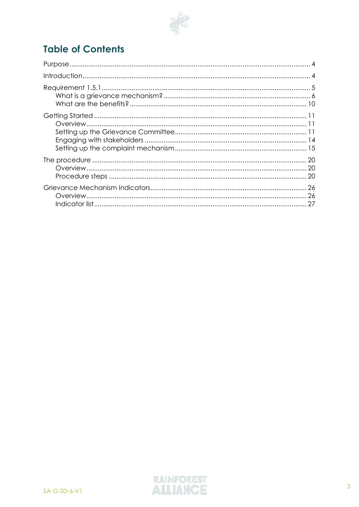

# **Table of Contents**

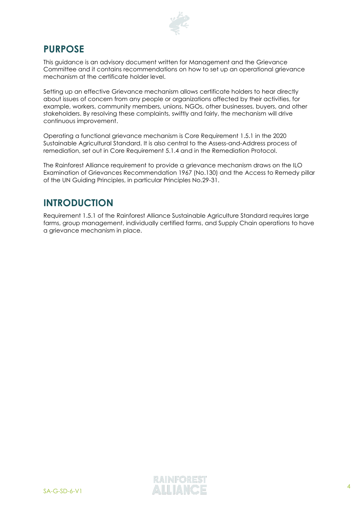

## <span id="page-3-0"></span>**PURPOSE**

This guidance is an advisory document written for Management and the Grievance Committee and it contains recommendations on how to set up an operational grievance mechanism at the certificate holder level.

Setting up an effective Grievance mechanism allows certificate holders to hear directly about issues of concern from any people or organizations affected by their activities, for example, workers, community members, unions, NGOs, other businesses, buyers, and other stakeholders. By resolving these complaints, swiftly and fairly, the mechanism will drive continuous improvement.

Operating a functional grievance mechanism is Core Requirement 1.5.1 in the 2020 Sustainable Agricultural Standard. It is also central to the Assess-and-Address process of remediation, set out in Core Requirement 5.1.4 and in the Remediation Protocol.

The Rainforest Alliance requirement to provide a grievance mechanism draws on the ILO Examination of Grievances Recommendation 1967 (No.130) and the Access to Remedy pillar of the UN Guiding Principles, in particular Principles No.29-31.

# <span id="page-3-1"></span>**INTRODUCTION**

Requirement 1.5.1 of the Rainforest Alliance Sustainable Agriculture Standard requires large farms, group management, individually certified farms, and Supply Chain operations to have a grievance mechanism in place.

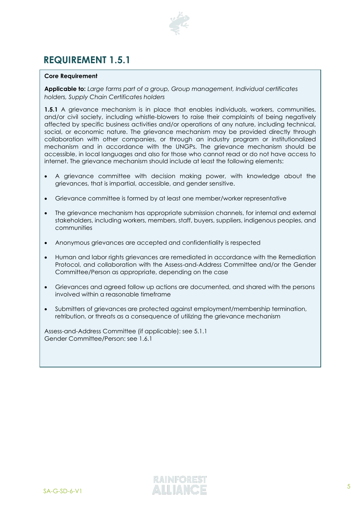

# <span id="page-4-0"></span>**REQUIREMENT 1.5.1**

#### **Core Requirement**

**Applicable to:** *Large farms part of a group, Group management, Individual certificates holders, Supply Chain Certificates holders*

**1.5.1** A grievance mechanism is in place that enables individuals, workers, communities, and/or civil society, including whistle-blowers to raise their complaints of being negatively affected by specific business activities and/or operations of any nature, including technical, social, or economic nature. The grievance mechanism may be provided directly through collaboration with other companies, or through an industry program or institutionalized mechanism and in accordance with the UNGPs. The grievance mechanism should be accessible, in local languages and also for those who cannot read or do not have access to internet. The grievance mechanism should include at least the following elements:

- A grievance committee with decision making power, with knowledge about the grievances, that is impartial, accessible, and gender sensitive.
- Grievance committee is formed by at least one member/worker representative
- The grievance mechanism has appropriate submission channels, for internal and external stakeholders, including workers, members, staff, buyers, suppliers, indigenous peoples, and communities
- Anonymous grievances are accepted and confidentiality is respected
- Human and labor rights grievances are remediated in accordance with the Remediation Protocol, and collaboration with the Assess-and-Address Committee and/or the Gender Committee/Person as appropriate, depending on the case
- Grievances and agreed follow up actions are documented, and shared with the persons involved within a reasonable timeframe
- Submitters of grievances are protected against employment/membership termination, retribution, or threats as a consequence of utilizing the grievance mechanism

Assess-and-Address Committee (if applicable): see 5.1.1 Gender Committee/Person: see 1.6.1

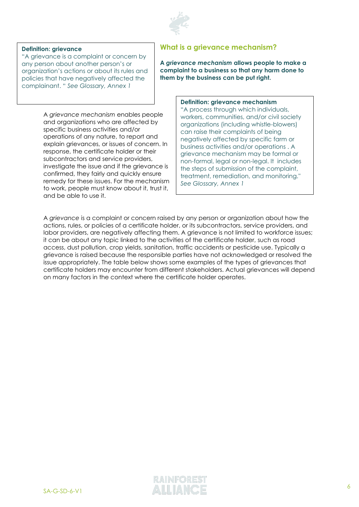

#### **Definition: grievance**

"A grievance is a complaint or concern by any person about another person's or organization's actions or about its rules and policies that have negatively affected the complainant. " *See Glossary, Annex 1*

> A *grievance mechanism* enables people and organizations who are affected by specific business activities and/or operations of any nature, to report and explain grievances, or issues of concern. In response, the certificate holder or their subcontractors and service providers, investigate the issue and if the grievance is confirmed, they fairly and quickly ensure remedy for these issues. For the mechanism to work, people must know about it, trust it, and be able to use it.

#### <span id="page-5-0"></span>**What is a grievance mechanism?**

**A** *grievance mechanism* **allows people to make a complaint to a business so that any harm done to them by the business can be put right.** 

#### **Definition: grievance mechanism**

"A process through which individuals, workers, communities, and/or civil society organizations (including whistle-blowers) can raise their complaints of being negatively affected by specific farm or business activities and/or operations . A grievance mechanism may be formal or non-formal, legal or non-legal. It includes the steps of submission of the complaint, treatment, remediation, and monitoring." *See Glossary, Annex 1*

A *grievance* is a complaint or concern raised by any person or organization about how the actions, rules, or policies of a certificate holder, or its subcontractors, service providers, and labor providers, are negatively affecting them. A grievance is not limited to workforce issues; it can be about any topic linked to the activities of the certificate holder, such as road access, dust pollution, crop yields, sanitation, traffic accidents or pesticide use. Typically a grievance is raised because the responsible parties have not acknowledged or resolved the issue appropriately. The table below shows some examples of the types of grievances that certificate holders may encounter from different stakeholders. Actual grievances will depend on many factors in the context where the certificate holder operates.

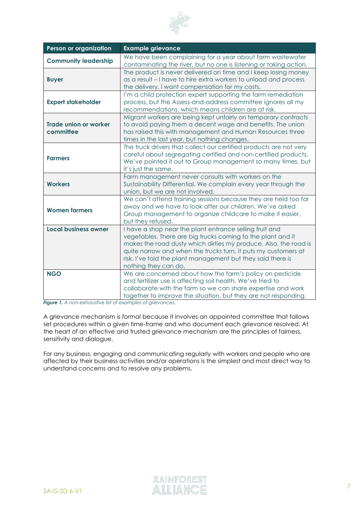

| Person or organization                    | <b>Example grievance</b>                                                                                                                                                                                                                                                                                                                            |
|-------------------------------------------|-----------------------------------------------------------------------------------------------------------------------------------------------------------------------------------------------------------------------------------------------------------------------------------------------------------------------------------------------------|
| <b>Community leadership</b>               | We have been complaining for a year about farm wastewater<br>contaminating the river, but no one is listening or taking action.                                                                                                                                                                                                                     |
| <b>Buyer</b>                              | The product is never delivered on time and I keep losing money<br>as a result - I have to hire extra workers to unload and process<br>the delivery. I want compensation for my costs.                                                                                                                                                               |
| <b>Expert stakeholder</b>                 | I'm a child protection expert supporting the farm remediation<br>process, but the Assess-and-address committee ignores all my<br>recommendations, which means children are at risk.                                                                                                                                                                 |
| <b>Trade union or worker</b><br>committee | Migrant workers are being kept unfairly on temporary contracts<br>to avoid paying them a decent wage and benefits. The union<br>has raised this with management and Human Resources three<br>times in the last year, but nothing changes.                                                                                                           |
| <b>Farmers</b>                            | The truck drivers that collect our certified products are not very<br>careful about segregating certified and non-certified products.<br>We've pointed it out to Group management so many times, but<br>it's just the same.                                                                                                                         |
| <b>Workers</b>                            | Farm management never consults with workers on the<br>Sustainability Differential. We complain every year through the<br>union, but we are not involved.                                                                                                                                                                                            |
| <b>Women farmers</b>                      | We can't attend training sessions because they are held too far<br>away and we have to look after our children. We've asked<br>Group management to organize childcare to make it easier,<br>but they refused.                                                                                                                                       |
| <b>Local business owner</b>               | I have a shop near the plant entrance selling fruit and<br>vegetables. There are big trucks coming to the plant and it<br>makes the road dusty which dirties my produce. Also, the road is<br>quite narrow and when the trucks turn, it puts my customers at<br>risk. I've told the plant management but they said there is<br>nothing they can do. |
| <b>NGO</b>                                | We are concerned about how the farm's policy on pesticide<br>and fertilizer use is affecting soil health. We've tried to<br>collaborate with the farm so we can share expertise and work<br>together to improve the situation, but they are not responding.                                                                                         |

*Figure 1. A non-exhaustive list of examples of grievances.*

A grievance mechanism is *formal* because it involves an appointed committee that follows set procedures within a given time-frame and who document each grievance resolved. At the heart of an effective and trusted grievance mechanism are the principles of fairness, sensitivity and dialogue.

For any business, engaging and communicating regularly with workers and people who are affected by their business activities and/or operations is the simplest and most direct way to understand concerns and to resolve any problems.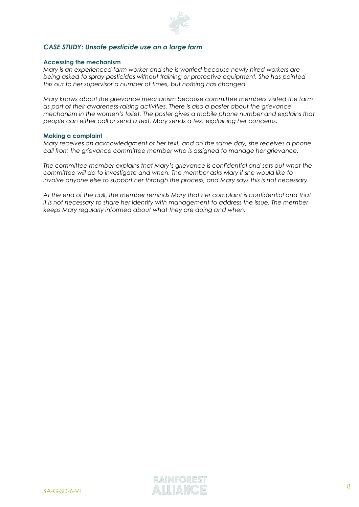

#### *CASE STUDY: Unsafe pesticide use on a large farm*

#### **Accessing the mechanism**

*Mary is an experienced farm worker and she is worried because newly hired workers are being asked to spray pesticides without training or protective equipment. She has pointed this out to her supervisor a number of times, but nothing has changed.*

*Mary knows about the grievance mechanism because committee members visited the farm as part of their awareness-raising activities. There is also a poster about the grievance mechanism in the women's toilet. The poster gives a mobile phone number and explains that people can either call or send a text. Mary sends a text explaining her concerns.*

#### **Making a complaint**

*Mary receives an acknowledgment of her text, and on the same day, she receives a phone call from the grievance committee member who is assigned to manage her grievance.* 

*The committee member explains that Mary's grievance is confidential and sets out what the committee will do to investigate and when. The member asks Mary if she would like to involve anyone else to support her through the process, and Mary says this is not necessary.* 

*At the end of the call, the member reminds Mary that her complaint is confidential and that it is not necessary to share her identity with management to address the issue. The member keeps Mary regularly informed about what they are doing and when.* 

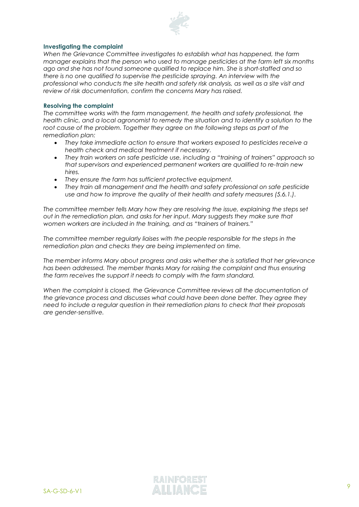

#### **Investigating the complaint**

*When the Grievance Committee investigates to establish what has happened, the farm manager explains that the person who used to manage pesticides at the farm left six months ago and she has not found someone qualified to replace him. She is short-staffed and so there is no one qualified to supervise the pesticide spraying. An interview with the professional who conducts the site health and safety risk analysis, as well as a site visit and review of risk documentation, confirm the concerns Mary has raised.*

#### **Resolving the complaint**

*The committee works with the farm management, the health and safety professional, the health clinic, and a local agronomist to remedy the situation and to identify a solution to the*  root cause of the problem. Together they agree on the following steps as part of the *remediation plan:*

- *They take immediate action to ensure that workers exposed to pesticides receive a health check and medical treatment if necessary.*
- *They train workers on safe pesticide use, including a "training of trainers" approach so that supervisors and experienced permanent workers are qualified to re-train new hires.*
- *They ensure the farm has sufficient protective equipment.*
- *They train all management and the health and safety professional on safe pesticide use and how to improve the quality of their health and safety measures (5.6.1.).*

*The committee member tells Mary how they are resolving the issue, explaining the steps set out in the remediation plan, and asks for her input. Mary suggests they make sure that women workers are included in the training, and as "trainers of trainers."*

*The committee member regularly liaises with the people responsible for the steps in the remediation plan and checks they are being implemented on time.* 

*The member informs Mary about progress and asks whether she is satisfied that her grievance has been addressed. The member thanks Mary for raising the complaint and thus ensuring the farm receives the support it needs to comply with the farm standard.* 

*When the complaint is closed, the Grievance Committee reviews all the documentation of the grievance process and discusses what could have been done better. They agree they need to include a regular question in their remediation plans to check that their proposals are gender-sensitive.*

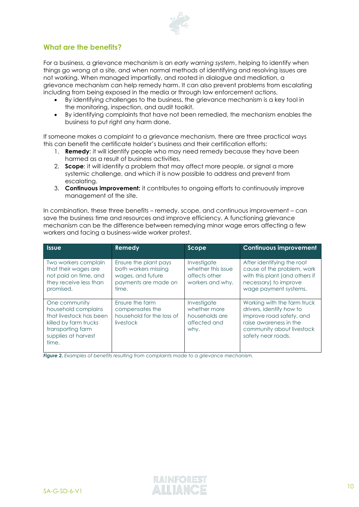

#### <span id="page-9-0"></span>**What are the benefits?**

For a business, a grievance mechanism is an *early warning system*, helping to identify when things go wrong at a site, and when normal methods of identifying and resolving issues are not working. When managed impartially, and rooted in dialogue and mediation, a grievance mechanism can help remedy harm. It can also prevent problems from escalating including from being exposed in the media or through law enforcement actions.

- By identifying challenges to the business, the grievance mechanism is a key tool in the monitoring, inspection, and audit toolkit.
- By identifying complaints that have not been remedied, the mechanism enables the business to put right any harm done.

If someone makes a complaint to a grievance mechanism, there are three practical ways this can benefit the certificate holder's business and their certification efforts:

- 1. **Remedy**: it will identify people who may need remedy because they have been harmed as a result of business activities.
- 2. **Scope**: it will identify a problem that may affect more people, or signal a more systemic challenge, and which it is now possible to address and prevent from escalating.
- 3. **Continuous improvement:** it contributes to ongoing efforts to continuously improve management of the site.

In combination, these three benefits – remedy, scope, and continuous improvement – can save the business time and resources and improve efficiency. A functioning grievance mechanism can be the difference between remedying minor wage errors affecting a few workers and facing a business-wide worker protest.

| <b>Issue</b>                                                                                                                                  | <b>Remedy</b>                                                                                       | Scope                                                                  | <b>Continuous improvement</b>                                                                                                                                    |
|-----------------------------------------------------------------------------------------------------------------------------------------------|-----------------------------------------------------------------------------------------------------|------------------------------------------------------------------------|------------------------------------------------------------------------------------------------------------------------------------------------------------------|
| Two workers complain<br>that their wages are<br>not paid on time, and<br>they receive less than<br>promised.                                  | Ensure the plant pays<br>both workers missing<br>wages, and future<br>payments are made on<br>time. | Investigate<br>whether this issue<br>affects other<br>workers and why. | After identifying the root<br>cause of the problem, work<br>with this plant (and others if<br>necessary) to improve<br>wage payment systems.                     |
| One community<br>household complains<br>that livestock has been<br>killed by farm trucks<br>transporting farm<br>supplies at harvest<br>time. | Ensure the farm<br>compensates the<br>household for the loss of<br>livestock                        | Investigate<br>whether more<br>households are<br>affected and<br>why.  | Working with the farm truck<br>drivers, identify how to<br>improve road safety, and<br>raise awareness in the<br>community about livestock<br>safety near roads. |

*Figure 2. Examples of benefits resulting from complaints made to a grievance mechanism.*

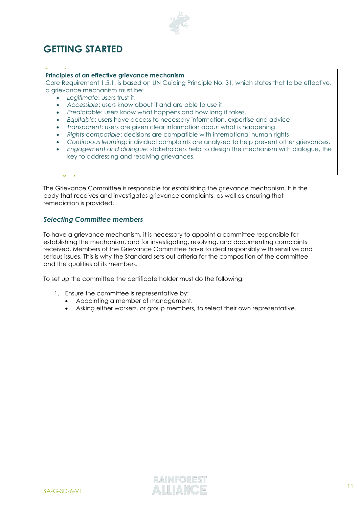

# <span id="page-10-0"></span>**GETTING STARTED**

## <span id="page-10-1"></span>**Principles of an effective grievance mechanism**

a grievance mechanism must be:<br>a grievance mechanism must be: grievance complaints and the procedures they follow to identify, investigate, resolve and • *Legitimate*: users trust it. Core Requirement 1.5.1. is based on UN Guiding Principle No. 31, which states that to be effective,

- 
- *Legmmanc*: *coord worth*.<br>• *Accessible: users know about it and are able to use it.* 
	- *Predictable: users know what happens and how long it takes.*
	- *Fredictable*: users know what happens and now long in takes.<br>• *Equitable*: users have access to necessary information, expertise and advice.
	- Equipose: 0505 have access to hecossary information, experise and davice<br>• *Transparent*: users are given clear information about what is happening.
	- confidence in committee members' fairness and safety. *Rights-compatible*: decisions are compatible with international human rights.
	- *Agms companies: accisions are companise win informational nomalingms*.<br>• *Continuous learning: individual complaints are analysed to help prevent other grievances.*
	- in the case of grievances related to human rights, this would be the Rainforest *Engagement and dialogue*: stakeholders help to design the mechanism with dialogue, the Alliance Remediation Protocol. key to addressing and resolving grievances.

The Grievance Committee is responsible for establishing the grievance mechanism. It is the body that receives and investigates grievance complaints, as well as ensuring that remediation is provided.

#### *Selecting Committee members*

<span id="page-10-2"></span>**Setting up the Grievance Committee**

To have a grievance mechanism, it is necessary to appoint a committee responsible for establishing the mechanism, and for investigating, resolving, and documenting complaints received. Members of the Grievance Committee have to deal responsibly with sensitive and serious issues. This is why the Standard sets out criteria for the composition of the committee and the qualities of its members.

To set up the committee the certificate holder must do the following:

- 1. Ensure the committee is representative by:
	- Appointing a member of management.
	- Asking either workers, or group members, to select their own representative.

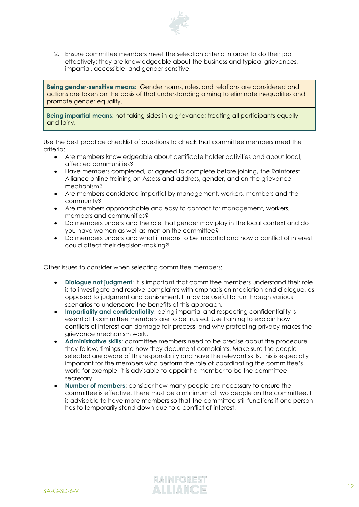

2. Ensure committee members meet the selection criteria in order to do their job effectively: they are knowledgeable about the business and typical grievances, impartial, accessible, and gender-sensitive.

**Being gender-sensitive means:** Gender norms, roles, and relations are considered and actions are taken on the basis of that understanding aiming to eliminate inequalities and promote gender equality.

**Being impartial means:** not taking sides in a grievance; treating all participants equally and fairly.

Use the best practice checklist of questions to check that committee members meet the criteria:

- Are members knowledgeable about certificate holder activities and about local, affected communities?
- Have members completed, or agreed to complete before joining, the Rainforest Alliance online training on Assess-and-address, gender, and on the grievance mechanism?
- Are members considered impartial by management, workers, members and the community?
- Are members approachable and easy to contact for management, workers, members and communities?
- Do members understand the role that gender may play in the local context and do you have women as well as men on the committee?
- Do members understand what it means to be impartial and how a conflict of interest could affect their decision-making?

Other issues to consider when selecting committee members:

- **Dialogue not judgment**: it is important that committee members understand their role is to investigate and resolve complaints with emphasis on mediation and dialogue, as opposed to judgment and punishment. It may be useful to run through various scenarios to underscore the benefits of this approach.
- **Impartiality and confidentiality**: being impartial and respecting confidentiality is essential if committee members are to be trusted. Use training to explain how conflicts of interest can damage fair process, and why protecting privacy makes the grievance mechanism work.
- **Administrative skills**: committee members need to be precise about the procedure they follow, timings and how they document complaints. Make sure the people selected are aware of this responsibility and have the relevant skills. This is especially important for the members who perform the role of coordinating the committee's work; for example, it is advisable to appoint a member to be the committee secretary.
- **Number of members**: consider how many people are necessary to ensure the committee is effective. There must be a minimum of two people on the committee. It is advisable to have more members so that the committee still functions if one person has to temporarily stand down due to a conflict of interest.

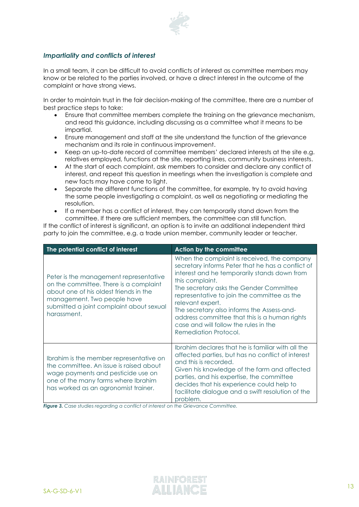

#### *Impartiality and conflicts of interest*

In a small team, it can be difficult to avoid conflicts of interest as committee members may know or be related to the parties involved, or have a direct interest in the outcome of the complaint or have strong views.

In order to maintain trust in the fair decision-making of the committee, there are a number of best practice steps to take:

- Ensure that committee members complete the training on the grievance mechanism, and read this guidance, including discussing as a committee what it means to be impartial.
- Ensure management and staff at the site understand the function of the grievance mechanism and its role in continuous improvement.
- Keep an up-to-date record of committee members' declared interests at the site e.g. relatives employed, functions at the site, reporting lines, community business interests.
- At the start of each complaint, ask members to consider and declare any conflict of interest, and repeat this question in meetings when the investigation is complete and new facts may have come to light.
- Separate the different functions of the committee, for example, try to avoid having the same people investigating a complaint, as well as negotiating or mediating the resolution.
- If a member has a conflict of interest, they can temporarily stand down from the committee. If there are sufficient members, the committee can still function.

If the conflict of interest is significant, an option is to invite an additional independent third party to join the committee, e.g. a trade union member, community leader or teacher.

| The potential conflict of interest                                                                                                                                                                                   | <b>Action by the committee</b>                                                                                                                                                                                                                                                                                                                                                                                                                     |  |
|----------------------------------------------------------------------------------------------------------------------------------------------------------------------------------------------------------------------|----------------------------------------------------------------------------------------------------------------------------------------------------------------------------------------------------------------------------------------------------------------------------------------------------------------------------------------------------------------------------------------------------------------------------------------------------|--|
| Peter is the management representative<br>on the committee. There is a complaint<br>about one of his oldest friends in the<br>management. Two people have<br>submitted a joint complaint about sexual<br>harassment. | When the complaint is received, the company<br>secretary informs Peter that he has a conflict of<br>interest and he temporarily stands down from<br>this complaint.<br>The secretary asks the Gender Committee<br>representative to join the committee as the<br>relevant expert.<br>The secretary also informs the Assess-and-<br>address committee that this is a human rights<br>case and will follow the rules in the<br>Remediation Protocol. |  |
| Ibrahim is the member representative on<br>the committee. An issue is raised about<br>wage payments and pesticide use on<br>one of the many farms where Ibrahim<br>has worked as an agronomist trainer.              | Ibrahim declares that he is familiar with all the<br>affected parties, but has no conflict of interest<br>and this is recorded.<br>Given his knowledge of the farm and affected<br>parties, and his expertise, the committee<br>decides that his experience could help to<br>facilitate dialogue and a swift resolution of the<br>problem.                                                                                                         |  |

*Figure 3. Case studies regarding a conflict of interest on the Grievance Committee.*

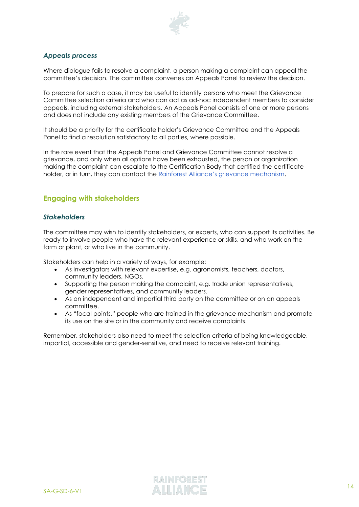

#### *Appeals process*

Where dialogue fails to resolve a complaint, a person making a complaint can appeal the committee's decision. The committee convenes an Appeals Panel to review the decision.

To prepare for such a case, it may be useful to identify persons who meet the Grievance Committee selection criteria and who can act as ad-hoc independent members to consider appeals, including external stakeholders. An Appeals Panel consists of one or more persons and does not include any existing members of the Grievance Committee.

It should be a priority for the certificate holder's Grievance Committee and the Appeals Panel to find a resolution satisfactory to all parties, where possible.

In the rare event that the Appeals Panel and Grievance Committee cannot resolve a grievance, and only when all options have been exhausted, the person or organization making the complaint can escalate to the Certification Body that certified the certificate holder, or in turn, they can contact the [Rainforest Alliance's grievance mechanism](https://www.rainforest-alliance.org/business/resource-item/grievance-procedure/).

#### <span id="page-13-0"></span>**Engaging with stakeholders**

#### *Stakeholders*

The committee may wish to identify stakeholders, or experts, who can support its activities. Be ready to involve people who have the relevant experience or skills, and who work on the farm or plant, or who live in the community.

Stakeholders can help in a variety of ways, for example:

- As investigators with relevant expertise, e.g. agronomists, teachers, doctors, community leaders, NGOs.
- Supporting the person making the complaint, e.g. trade union representatives, gender representatives, and community leaders.
- As an independent and impartial third party on the committee or on an appeals committee.
- As "focal points," people who are trained in the grievance mechanism and promote its use on the site or in the community and receive complaints.

Remember, stakeholders also need to meet the selection criteria of being knowledgeable, impartial, accessible and gender-sensitive, and need to receive relevant training.

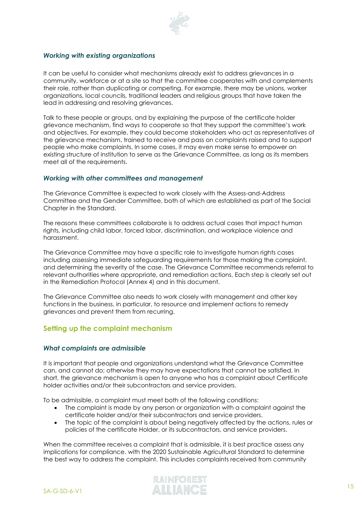

#### *Working with existing organizations*

It can be useful to consider what mechanisms already exist to address grievances in a community, workforce or at a site so that the committee cooperates with and complements their role, rather than duplicating or competing. For example, there may be unions, worker organizations, local councils, traditional leaders and religious groups that have taken the lead in addressing and resolving grievances.

Talk to these people or groups, and by explaining the purpose of the certificate holder grievance mechanism, find ways to cooperate so that they support the committee's work and objectives. For example, they could become stakeholders who act as representatives of the grievance mechanism, trained to receive and pass on complaints raised and to support people who make complaints. In some cases, it may even make sense to empower an existing structure of institution to serve as the Grievance Committee, as long as its members meet all of the requirements.

#### *Working with other committees and management*

The Grievance Committee is expected to work closely with the Assess-and-Address Committee and the Gender Committee, both of which are established as part of the Social Chapter in the Standard.

The reasons these committees collaborate is to address actual cases that impact human rights, including child labor, forced labor, discrimination, and workplace violence and harassment.

The Grievance Committee may have a specific role to investigate human rights cases including assessing immediate safeguarding requirements for those making the complaint, and determining the severity of the case. The Grievance Committee recommends referral to relevant authorities where appropriate, and remediation actions. Each step is clearly set out in the Remediation Protocol (Annex 4) and in this document.

The Grievance Committee also needs to work closely with management and other key functions in the business, in particular, to resource and implement actions to remedy grievances and prevent them from recurring.

#### <span id="page-14-0"></span>**Setting up the complaint mechanism**

#### *What complaints are admissible*

It is important that people and organizations understand what the Grievance Committee can, and cannot do; otherwise they may have expectations that cannot be satisfied. In short, the grievance mechanism is open to anyone who has a complaint about Certificate holder activities and/or their subcontractors and service providers.

To be admissible, a complaint must meet both of the following conditions:

- The complaint is made by any person or organization with a complaint against the certificate holder and/or their subcontractors and service providers.
- The topic of the complaint is about being negatively affected by the actions, rules or policies of the certificate Holder, or its subcontractors, and service providers.

When the committee receives a complaint that is admissible, it is best practice assess any implications for compliance. with the 2020 Sustainable Agricultural Standard to determine the best way to address the complaint. This includes complaints received from community

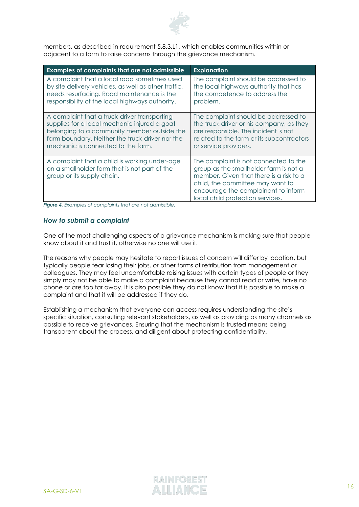

members, as described in requirement 5.8.3.L1, which enables communities within or adjacent to a farm to raise concerns through the grievance mechanism.

| <b>Examples of complaints that are not admissible</b>                                                                        | <b>Explanation</b>                                                                                                                                                                                                                        |
|------------------------------------------------------------------------------------------------------------------------------|-------------------------------------------------------------------------------------------------------------------------------------------------------------------------------------------------------------------------------------------|
| A complaint that a local road sometimes used                                                                                 | The complaint should be addressed to                                                                                                                                                                                                      |
| by site delivery vehicles, as well as other traffic,                                                                         | the local highways authority that has                                                                                                                                                                                                     |
| needs resurfacing. Road maintenance is the                                                                                   | the competence to address the                                                                                                                                                                                                             |
| responsibility of the local highways authority.                                                                              | problem.                                                                                                                                                                                                                                  |
| A complaint that a truck driver transporting                                                                                 | The complaint should be addressed to                                                                                                                                                                                                      |
| supplies for a local mechanic injured a goat                                                                                 | the truck driver or his company, as they                                                                                                                                                                                                  |
| belonging to a community member outside the                                                                                  | are responsible. The incident is not                                                                                                                                                                                                      |
| farm boundary. Neither the truck driver nor the                                                                              | related to the farm or its subcontractors                                                                                                                                                                                                 |
| mechanic is connected to the farm.                                                                                           | or service providers.                                                                                                                                                                                                                     |
| A complaint that a child is working under-age<br>on a smallholder farm that is not part of the<br>group or its supply chain. | The complaint is not connected to the<br>group as the smallholder farm is not a<br>member. Given that there is a risk to a<br>child, the committee may want to<br>encourage the complainant to inform<br>local child protection services. |

*Figure 4. Examples of complaints that are not admissible.*

#### *How to submit a complaint*

One of the most challenging aspects of a grievance mechanism is making sure that people know about it and trust it, otherwise no one will use it.

The reasons why people may hesitate to report issues of concern will differ by location, but typically people fear losing their jobs, or other forms of retribution from management or colleagues. They may feel uncomfortable raising issues with certain types of people or they simply may not be able to make a complaint because they cannot read or write, have no phone or are too far away. It is also possible they do not know that it is possible to make a complaint and that it will be addressed if they do.

Establishing a mechanism that everyone can access requires understanding the site's specific situation, consulting relevant stakeholders, as well as providing as many channels as possible to receive grievances. Ensuring that the mechanism is trusted means being transparent about the process, and diligent about protecting confidentiality.

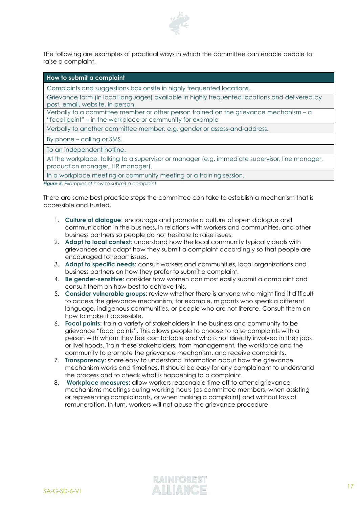

The following are examples of practical ways in which the committee can enable people to raise a complaint.

| How to submit a complaint                                                                                                                          |
|----------------------------------------------------------------------------------------------------------------------------------------------------|
| Complaints and suggestions box onsite in highly frequented locations.                                                                              |
| Grievance form (in local languages) available in highly frequented locations and delivered by<br>post, email, website, in person.                  |
| Verbally to a committee member or other person trained on the grievance mechanism - a<br>"focal point" – in the workplace or community for example |
| Verbally to another committee member, e.g. gender or assess-and-address.                                                                           |
| By phone – calling or SMS.                                                                                                                         |
| To an independent hotline.                                                                                                                         |
| At the workplace, talking to a supervisor or manager (e.g. immediate supervisor, line manager,<br>production manager, HR manager).                 |
| In a workplace meeting or community meeting or a training session.                                                                                 |

*Figure 5. Examples of how to submit a complaint*

There are some best practice steps the committee can take to establish a mechanism that is accessible and trusted.

- 1. **Culture of dialogue**: encourage and promote a culture of open dialogue and communication in the business, in relations with workers and communities, and other business partners so people do not hesitate to raise issues.
- 2. **Adapt to local context**: understand how the local community typically deals with grievances and adapt how they submit a complaint accordingly so that people are encouraged to report issues.
- 3. **Adapt to specific needs**: consult workers and communities, local organizations and business partners on how they prefer to submit a complaint.
- 4. **Be gender-sensitive**: consider how women can most easily submit a complaint and consult them on how best to achieve this.
- 5. **Consider vulnerable groups**: review whether there is anyone who might find it difficult to access the grievance mechanism, for example, migrants who speak a different language, indigenous communities, or people who are not literate. Consult them on how to make it accessible.
- 6. **Focal points**: train a variety of stakeholders in the business and community to be grievance "focal points". This allows people to choose to raise complaints with a person with whom they feel comfortable and who is not directly involved in their jobs or livelihoods. Train these stakeholders, from management, the workforce and the community to promote the grievance mechanism, and receive complaints**.**
- 7. **Transparency**: share easy to understand information about how the grievance mechanism works and timelines. It should be easy for any complainant to understand the process and to check what is happening to a complaint.
- 8. **Workplace measures**: allow workers reasonable time off to attend grievance mechanisms meetings during working hours (as committee members, when assisting or representing complainants, or when making a complaint) and without loss of remuneration. In turn, workers will not abuse the grievance procedure.

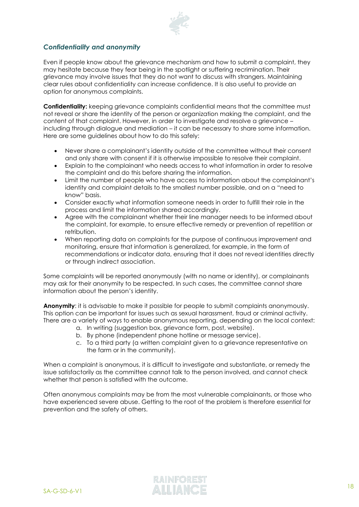

#### *Confidentiality and anonymity*

Even if people know about the grievance mechanism and how to submit a complaint, they may hesitate because they fear being in the spotlight or suffering recrimination. Their grievance may involve issues that they do not want to discuss with strangers. Maintaining clear rules about confidentiality can increase confidence. It is also useful to provide an option for anonymous complaints.

**Confidentiality:** keeping grievance complaints confidential means that the committee must not reveal or share the identity of the person or organization making the complaint, and the content of that complaint. However, in order to investigate and resolve a grievance – including through dialogue and mediation – it can be necessary to share some information. Here are some guidelines about how to do this safely:

- Never share a complainant's identity outside of the committee without their consent and only share with consent if it is otherwise impossible to resolve their complaint.
- Explain to the complainant who needs access to what information in order to resolve the complaint and do this before sharing the information.
- Limit the number of people who have access to information about the complainant's identity and complaint details to the smallest number possible, and on a "need to know" basis.
- Consider exactly what information someone needs in order to fulfill their role in the process and limit the information shared accordingly.
- Agree with the complainant whether their line manager needs to be informed about the complaint, for example, to ensure effective remedy or prevention of repetition or retribution.
- When reporting data on complaints for the purpose of continuous improvement and monitoring, ensure that information is generalized, for example, in the form of recommendations or indicator data, ensuring that it does not reveal identities directly or through indirect association.

Some complaints will be reported anonymously (with no name or identity), or complainants may ask for their anonymity to be respected. In such cases, the committee cannot share information about the person's identity.

**Anonymity:** it is advisable to make it possible for people to submit complaints anonymously. This option can be important for issues such as sexual harassment, fraud or criminal activity. There are a variety of ways to enable anonymous reporting, depending on the local context:

- a. In writing (suggestion box, grievance form, post, website).
- b. By phone (independent phone hotline or message service).
- c. To a third party (a written complaint given to a grievance representative on the farm or in the community).

When a complaint is anonymous, it is difficult to investigate and substantiate, or remedy the issue satisfactorily as the committee cannot talk to the person involved, and cannot check whether that person is satisfied with the outcome.

Often anonymous complaints may be from the most vulnerable complainants, or those who have experienced severe abuse. Getting to the root of the problem is therefore essential for prevention and the safety of others.

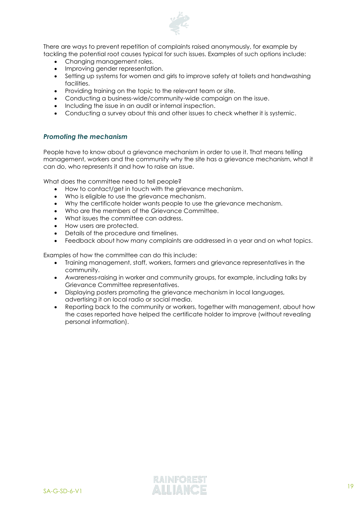

There are ways to prevent repetition of complaints raised anonymously, for example by tackling the potential root causes typical for such issues. Examples of such options include:

- Changing management roles.
- Improving gender representation.
- Setting up systems for women and girls to improve safety at toilets and handwashing facilities.
- Providing training on the topic to the relevant team or site.
- Conducting a business-wide/community-wide campaign on the issue.
- Including the issue in an audit or internal inspection.
- Conducting a survey about this and other issues to check whether it is systemic.

#### *Promoting the mechanism*

People have to know about a grievance mechanism in order to use it. That means telling management, workers and the community why the site has a grievance mechanism, what it can do, who represents it and how to raise an issue.

What does the committee need to tell people?

- How to contact/get in touch with the grievance mechanism.
- Who is eligible to use the grievance mechanism.
- Why the certificate holder wants people to use the grievance mechanism.
- Who are the members of the Grievance Committee.
- What issues the committee can address.
- How users are protected.
- Details of the procedure and timelines.
- Feedback about how many complaints are addressed in a year and on what topics.

Examples of how the committee can do this include:

- Training management, staff, workers, farmers and grievance representatives in the community.
- Awareness-raising in worker and community groups, for example, including talks by Grievance Committee representatives.
- Displaying posters promoting the grievance mechanism in local languages, advertising it on local radio or social media.
- Reporting back to the community or workers, together with management, about how the cases reported have helped the certificate holder to improve (without revealing personal information).

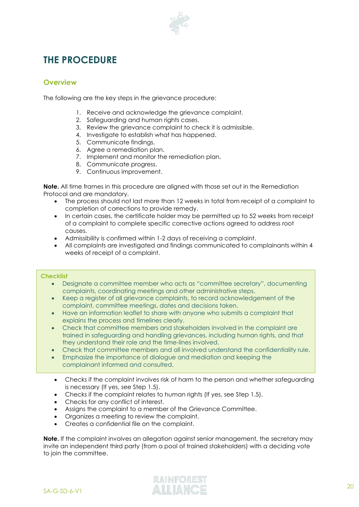

# <span id="page-19-0"></span>**THE PROCEDURE**

#### <span id="page-19-1"></span>**Overview**

The following are the key steps in the grievance procedure:

- 1. Receive and acknowledge the grievance complaint.
- 2. Safeguarding and human rights cases.
- 3. Review the grievance complaint to check it is admissible.
- 4. Investigate to establish what has happened.
- 5. Communicate findings.
- 6. Agree a remediation plan.
- 7. Implement and monitor the remediation plan.
- 8. Communicate progress.
- 9. Continuous improvement.

**Note.** All time frames in this procedure are aligned with those set out in the Remediation Protocol and are mandatory.

- The process should not last more than 12 weeks in total from receipt of a complaint to completion of corrections to provide remedy.
- In certain cases, the certificate holder may be permitted up to 52 weeks from receipt of a complaint to complete specific corrective actions agreed to address root causes.
- Admissibility is confirmed within 1-2 days of receiving a complaint.
- All complaints are investigated and findings communicated to complainants within 4 weeks of receipt of a complaint.

#### *Figure 6. Checklist to prepare to address a complaint* **Checklist**

- Designate a committee member who acts as "committee secretary", documenting complaints, coordinating meetings and other administrative steps.
- <span id="page-19-2"></span>**Procedure steps** complaint, committee meetings, dates and decisions taken. • Keep a register of all grievance complaints, to record acknowledgement of the
- explains the process and timelines clearly. • Have an information leaflet to share with anyone who submits a complaint that
- Check that committee members and stakeholders involved in the complaint are they understand their role and the time-lines involved. In the register by the register by the register by the trained in safeguarding and handling grievances, including human rights, and that
- Check that committee members and all involved understand the confidentiality rule.
- complainant informed and consulted. • Emphasize the importance of dialogue and mediation and keeping the
	- Checks if the complaint involves risk of harm to the person and whether safeguarding is necessary (If yes, see Step 1.5).
	- Checks if the complaint relates to human rights (If yes, see Step 1.5).
	- Checks for any conflict of interest.
	- Assigns the complaint to a member of the Grievance Committee.
	- Organizes a meeting to review the complaint.
	- Creates a confidential file on the complaint.

**Note.** If the complaint involves an allegation against senior management, the secretary may invite an independent third party (from a pool of trained stakeholders) with a deciding vote to join the committee.

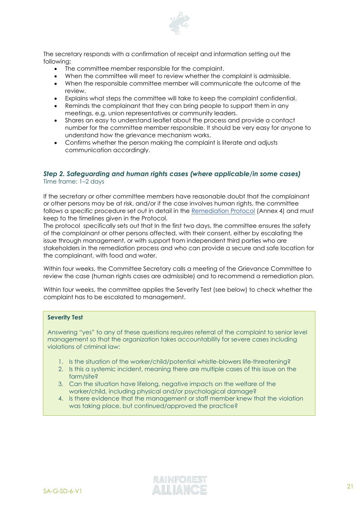

The secretary responds with a confirmation of receipt and information setting out the following:

- The committee member responsible for the complaint.
- When the committee will meet to review whether the complaint is admissible.
- When the responsible committee member will communicate the outcome of the review.
- Explains what steps the committee will take to keep the complaint confidential.
- Reminds the complainant that they can bring people to support them in any meetings, e.g. union representatives or community leaders.
- Shares an easy to understand leaflet about the process and provide a contact number for the committee member responsible. It should be very easy for anyone to understand how the grievance mechanism works.
- Confirms whether the person making the complaint is literate and adjusts communication accordingly.

#### *Step 2. Safeguarding and human rights cases (where applicable/in some cases)* Time frame: 1–2 days

If the secretary or other committee members have reasonable doubt that the complainant or other persons may be at risk, and/or if the case involves human rights, the committee follows a specific procedure set out in detail in the [Remediation Protocol](https://www.rainforest-alliance.org/business/resource-item/annex-4-remediation-protocol/) (Annex 4) and must keep to the timelines given in the Protocol.

The protocol specifically sets out that In the first two days, the committee ensures the safety of the complainant or other persons affected, with their consent, either by escalating the issue through management, or with support from independent third parties who are stakeholders in the remediation process and who can provide a secure and safe location for the complainant, with food and water.

Within four weeks, the Committee Secretary calls a meeting of the Grievance Committee to review the case (human rights cases are admissible) and to recommend a remediation plan.

Within four weeks, the committee applies the Severity Test (see below) to check whether the complaint has to be escalated to management.

#### *Figure 7. The Severity Test applied to human rights complaints* **Severity Test**

Answering "yes" to any of these questions requires referral of the complaint to senior level management so that the organization takes accountability for severe cases including violations of criminal law:

- 1. Is the situation of the worker/child/potential whistle-blowers life-threatening?
- 2. Is this a systemic incident, meaning there are multiple cases of this issue on the farm/site?
- 3. Can the situation have lifelong, negative impacts on the welfare of the worker/child, including physical and/or psychological damage?
- 4. Is there evidence that the management or staff member knew that the violation clearly set out in the *Remendiation at a was taking place*, but continued/approved the practice?

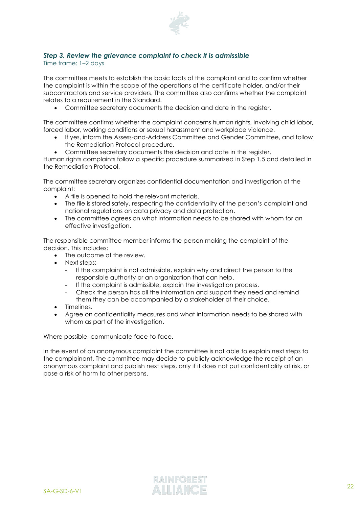

#### *Step 3. Review the grievance complaint to check it is admissible*

Time frame: 1–2 days

The committee meets to establish the basic facts of the complaint and to confirm whether the complaint is within the scope of the operations of the certificate holder, and/or their subcontractors and service providers. The committee also confirms whether the complaint relates to a requirement in the Standard.

• Committee secretary documents the decision and date in the register.

The committee confirms whether the complaint concerns human rights, involving child labor, forced labor, working conditions or sexual harassment and workplace violence.

- If yes, inform the Assess-and-Address Committee and Gender Committee, and follow the Remediation Protocol procedure.
- Committee secretary documents the decision and date in the register.

Human rights complaints follow a specific procedure summarized in Step 1.5 and detailed in the Remediation Protocol.

The committee secretary organizes confidential documentation and investigation of the complaint:

- A file is opened to hold the relevant materials.
- The file is stored safely, respecting the confidentiality of the person's complaint and national regulations on data privacy and data protection.
- The committee agrees on what information needs to be shared with whom for an effective investigation.

The responsible committee member informs the person making the complaint of the decision. This includes:

- The outcome of the review.
- Next steps:
	- If the complaint is not admissible, explain why and direct the person to the responsible authority or an organization that can help.
	- If the complaint is admissible, explain the investigation process.
	- Check the person has all the information and support they need and remind them they can be accompanied by a stakeholder of their choice.
- Timelines.
- Agree on confidentiality measures and what information needs to be shared with whom as part of the investigation.

Where possible, communicate face-to-face.

In the event of an anonymous complaint the committee is not able to explain next steps to the complainant. The committee may decide to publicly acknowledge the receipt of an anonymous complaint and publish next steps, only if it does not put confidentiality at risk, or pose a risk of harm to other persons.

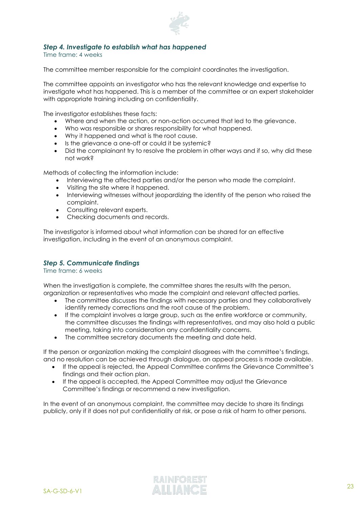

#### *Step 4. Investigate to establish what has happened*

Time frame: 4 weeks

The committee member responsible for the complaint coordinates the investigation.

The committee appoints an investigator who has the relevant knowledge and expertise to investigate what has happened. This is a member of the committee or an expert stakeholder with appropriate training including on confidentiality.

The investigator establishes these facts:

- Where and when the action, or non-action occurred that led to the grievance.
- Who was responsible or shares responsibility for what happened.
- Why it happened and what is the root cause.
- Is the grievance a one-off or could it be systemic?
- Did the complainant try to resolve the problem in other ways and if so, why did these not work?

Methods of collecting the information include:

- Interviewing the affected parties and/or the person who made the complaint.
- Visiting the site where it happened.
- Interviewing witnesses without jeopardizing the identity of the person who raised the complaint.
- Consulting relevant experts.
- Checking documents and records.

The investigator is informed about what information can be shared for an effective investigation, including in the event of an anonymous complaint.

#### *Step 5. Communicate findings*

Time frame: 6 weeks

When the investigation is complete, the committee shares the results with the person, organization or representatives who made the complaint and relevant affected parties.

- The committee discusses the findings with necessary parties and they collaboratively identify remedy corrections and the root cause of the problem.
- If the complaint involves a large group, such as the entire workforce or community, the committee discusses the findings with representatives, and may also hold a public meeting, taking into consideration any confidentiality concerns.
- The committee secretary documents the meeting and date held.

If the person or organization making the complaint disagrees with the committee's findings, and no resolution can be achieved through dialogue, an appeal process is made available.

- If the appeal is rejected, the Appeal Committee confirms the Grievance Committee's findings and their action plan.
- If the appeal is accepted, the Appeal Committee may adjust the Grievance Committee's findings or recommend a new investigation.

In the event of an anonymous complaint, the committee may decide to share its findings publicly, only if it does not put confidentiality at risk, or pose a risk of harm to other persons.

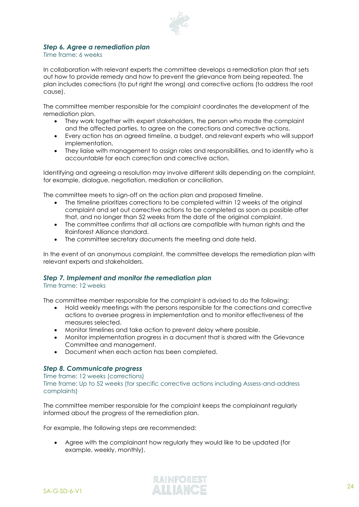

#### *Step 6. Agree a remediation plan*

Time frame: 6 weeks

In collaboration with relevant experts the committee develops a remediation plan that sets out how to provide remedy and how to prevent the grievance from being repeated. The plan includes corrections (to put right the wrong) and corrective actions (to address the root cause).

The committee member responsible for the complaint coordinates the development of the remediation plan.

- They work together with expert stakeholders, the person who made the complaint and the affected parties, to agree on the corrections and corrective actions.
- Every action has an agreed timeline, a budget, and relevant experts who will support implementation.
- They liaise with management to assign roles and responsibilities, and to identify who is accountable for each correction and corrective action.

Identifying and agreeing a resolution may involve different skills depending on the complaint, for example, dialogue, negotiation, mediation or conciliation.

The committee meets to sign-off on the action plan and proposed timeline.

- The timeline prioritizes corrections to be completed within 12 weeks of the original complaint and set out corrective actions to be completed as soon as possible after that, and no longer than 52 weeks from the date of the original complaint.
- The committee confirms that all actions are compatible with human rights and the Rainforest Alliance standard.
- The committee secretary documents the meeting and date held.

In the event of an anonymous complaint, the committee develops the remediation plan with relevant experts and stakeholders.

#### *Step 7. Implement and monitor the remediation plan*

Time frame: 12 weeks

The committee member responsible for the complaint is advised to do the following:

- Hold weekly meetings with the persons responsible for the corrections and corrective actions to oversee progress in implementation and to monitor effectiveness of the measures selected.
- Monitor timelines and take action to prevent delay where possible.
- Monitor implementation progress in a document that is shared with the Grievance Committee and management.
- Document when each action has been completed.

#### *Step 8. Communicate progress*

Time frame: 12 weeks (corrections)

Time frame: Up to 52 weeks (for specific corrective actions including Assess-and-address complaints)

The committee member responsible for the complaint keeps the complainant regularly informed about the progress of the remediation plan.

For example, the following steps are recommended:

• Agree with the complainant how regularly they would like to be updated (for example, weekly, monthly).

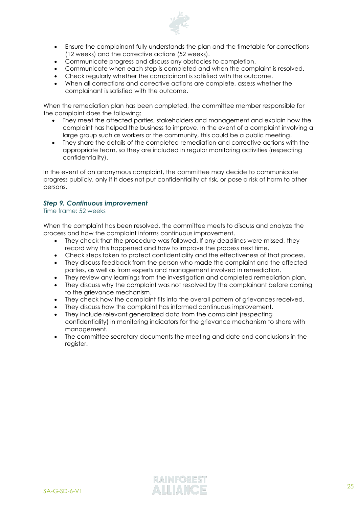

- Ensure the complainant fully understands the plan and the timetable for corrections (12 weeks) and the corrective actions (52 weeks).
- Communicate progress and discuss any obstacles to completion.
- Communicate when each step is completed and when the complaint is resolved.
- Check regularly whether the complainant is satisfied with the outcome.
- When all corrections and corrective actions are complete, assess whether the complainant is satisfied with the outcome.

When the remediation plan has been completed, the committee member responsible for the complaint does the following:

- They meet the affected parties, stakeholders and management and explain how the complaint has helped the business to improve. In the event of a complaint involving a large group such as workers or the community, this could be a public meeting.
- They share the details of the completed remediation and corrective actions with the appropriate team, so they are included in regular monitoring activities (respecting confidentiality).

In the event of an anonymous complaint, the committee may decide to communicate progress publicly, only if it does not put confidentiality at risk, or pose a risk of harm to other persons.

#### *Step 9. Continuous improvement*

Time frame: 52 weeks

When the complaint has been resolved, the committee meets to discuss and analyze the process and how the complaint informs continuous improvement.

- They check that the procedure was followed. If any deadlines were missed, they record why this happened and how to improve the process next time.
- Check steps taken to protect confidentiality and the effectiveness of that process.
- They discuss feedback from the person who made the complaint and the affected parties, as well as from experts and management involved in remediation.
- They review any learnings from the investigation and completed remediation plan.
- They discuss why the complaint was not resolved by the complainant before coming to the grievance mechanism.
- They check how the complaint fits into the overall pattern of grievances received.
- They discuss how the complaint has informed continuous improvement.
- They include relevant generalized data from the complaint (respecting confidentiality) in monitoring indicators for the grievance mechanism to share with management.
- The committee secretary documents the meeting and date and conclusions in the register.

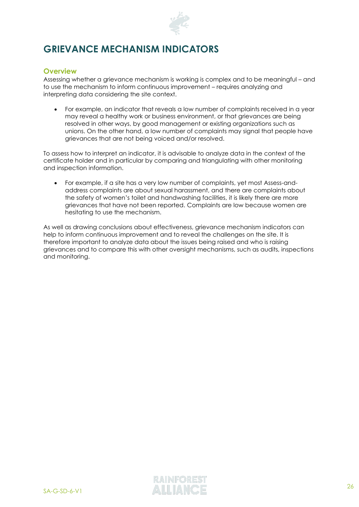

# <span id="page-25-0"></span>**GRIEVANCE MECHANISM INDICATORS**

#### <span id="page-25-1"></span>**Overview**

Assessing whether a grievance mechanism is working is complex and to be meaningful – and to use the mechanism to inform continuous improvement – requires analyzing and interpreting data considering the site context.

• For example, an indicator that reveals a low number of complaints received in a year may reveal a healthy work or business environment, or that grievances are being resolved in other ways, by good management or existing organizations such as unions. On the other hand, a low number of complaints may signal that people have grievances that are not being voiced and/or resolved.

To assess how to interpret an indicator, it is advisable to analyze data in the context of the certificate holder and in particular by comparing and triangulating with other monitoring and inspection information.

• For example, if a site has a very low number of complaints, yet most Assess-andaddress complaints are about sexual harassment, and there are complaints about the safety of women's toilet and handwashing facilities, it is likely there are more grievances that have not been reported. Complaints are low because women are hesitating to use the mechanism.

As well as drawing conclusions about effectiveness, grievance mechanism indicators can help to inform continuous improvement and to reveal the challenges on the site. It is therefore important to analyze data about the issues being raised and who is raising grievances and to compare this with other oversight mechanisms, such as audits, inspections and monitoring.

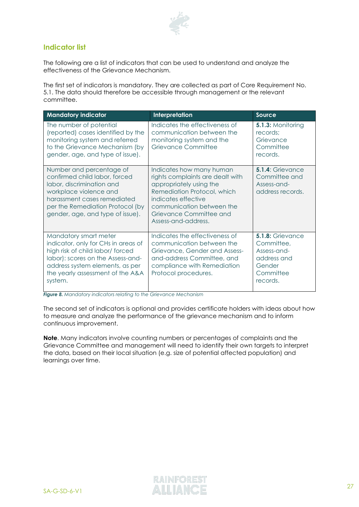

#### <span id="page-26-0"></span>**Indicator list**

The following are a list of indicators that can be used to understand and analyze the effectiveness of the Grievance Mechanism.

The first set of indicators is mandatory. They are collected as part of Core Requirement No. 5.1. The data should therefore be accessible through management or the relevant committee.

| <b>Mandatory indicator</b>                                                                                                                                                                                              | Interpretation                                                                                                                                                                                                               | Source                                                                                          |
|-------------------------------------------------------------------------------------------------------------------------------------------------------------------------------------------------------------------------|------------------------------------------------------------------------------------------------------------------------------------------------------------------------------------------------------------------------------|-------------------------------------------------------------------------------------------------|
| The number of potential<br>(reported) cases identified by the<br>monitoring system and referred<br>to the Grievance Mechanism (by<br>gender, age, and type of issue).                                                   | Indicates the effectiveness of<br>communication between the<br>monitoring system and the<br>Grievance Committee                                                                                                              | <b>5.1.3: Monitoring</b><br>records;<br>Grievance<br>Committee<br>records.                      |
| Number and percentage of<br>confirmed child labor, forced<br>labor, discrimination and<br>workplace violence and<br>harassment cases remediated<br>per the Remediation Protocol (by<br>gender, age, and type of issue). | Indicates how many human<br>rights complaints are dealt with<br>appropriately using the<br>Remediation Protocol, which<br>indicates effective<br>communication between the<br>Grievance Committee and<br>Assess-and-address. | 5.1.4: Grievance<br>Committee and<br>Assess-and-<br>address records.                            |
| Mandatory smart meter<br>indicator, only for CHs in areas of<br>high risk of child labor/ forced<br>labor): scores on the Assess-and-<br>address system elements, as per<br>the yearly assessment of the A&A<br>system. | Indicates the effectiveness of<br>communication between the<br>Grievance, Gender and Assess-<br>and-address Committee, and<br>compliance with Remediation<br>Protocol procedures.                                            | 5.1.8: Grievance<br>Committee,<br>Assess-and-<br>address and<br>Gender<br>Committee<br>records. |

*Figure 8. Mandatory indicators relating to the Grievance Mechanism* 

The second set of indicators is optional and provides certificate holders with ideas about how to measure and analyze the performance of the grievance mechanism and to inform continuous improvement.

**Note**. Many indicators involve counting numbers or percentages of complaints and the Grievance Committee and management will need to identify their own targets to interpret the data, based on their local situation (e.g. size of potential affected population) and learnings over time.

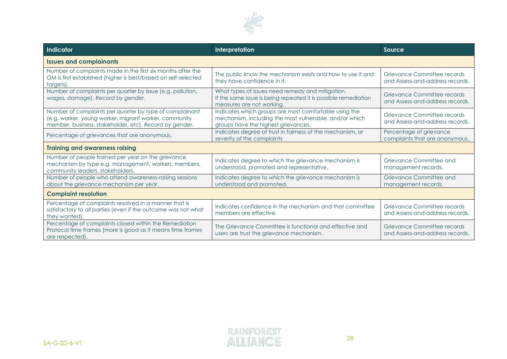

| <b>Indicator</b>                                                                                                                                                           | Interpretation                                                                                                                                         | Source                                                         |  |
|----------------------------------------------------------------------------------------------------------------------------------------------------------------------------|--------------------------------------------------------------------------------------------------------------------------------------------------------|----------------------------------------------------------------|--|
| <b>Issues and complainants</b>                                                                                                                                             |                                                                                                                                                        |                                                                |  |
| Number of complaints made in the first six months after the<br>GM is first established (higher is best/based on self-selected<br>targets).                                 | The public know the mechanism exists and how to use it and<br>they have confidence in it.                                                              | Grievance Committee records<br>and Assess-and-address records. |  |
| Number of complaints per quarter by issue (e.g. pollution,<br>wages, damage). Record by gender.                                                                            | What types of issues need remedy and mitigation.<br>If the same issue is being repeated it is possible remediation<br>measures are not working.        | Grievance Committee records<br>and Assess-and-address records. |  |
| Number of complaints per quarter by type of complainant<br>(e.g. worker, young worker, migrant worker, community<br>member, business, stakeholder, etc). Record by gender. | Indicates which groups are most comfortable using the<br>mechanism, including the most vulnerable, and/or which<br>groups have the highest grievances. | Grievance Committee records<br>and Assess-and-address records. |  |
| Percentage of grievances that are anonymous.                                                                                                                               | Indicates degree of trust in fairness of the mechanism, or<br>severity of the complaints                                                               | Percentage of grievance<br>complaints that are anonymous.      |  |
| <b>Training and awareness raising</b>                                                                                                                                      |                                                                                                                                                        |                                                                |  |
| Number of people trained per year on the grievance<br>mechanism by type e.g. management, workers, members,<br>community leaders, stakeholders.                             | Indicates degree to which the grievance mechanism is<br>understood, promoted and representative.                                                       | Grievance Committee and<br>management records.                 |  |
| Number of people who attend awareness-raising sessions<br>about the grievance mechanism per year.                                                                          | Indicates degree to which the grievance mechanism is<br>understood and promoted.                                                                       | Grievance Committee and<br>management records.                 |  |
| <b>Complaint resolution</b>                                                                                                                                                |                                                                                                                                                        |                                                                |  |
| Percentage of complaints resolved in a manner that is<br>satisfactory to all parties (even if the outcome was not what<br>they wanted).                                    | Indicates confidence in the mechanism and that committee<br>members are effective.                                                                     | Grievance Committee records<br>and Assess-and-address records. |  |
| Percentage of complaints closed within the Remediation<br>Protocol time frames (more is good as it means time frames<br>are respected).                                    | The Grievance Committee is functional and effective and<br>users are trust the grievance mechanism.                                                    | Grievance Committee records<br>and Assess-and-address records. |  |

28